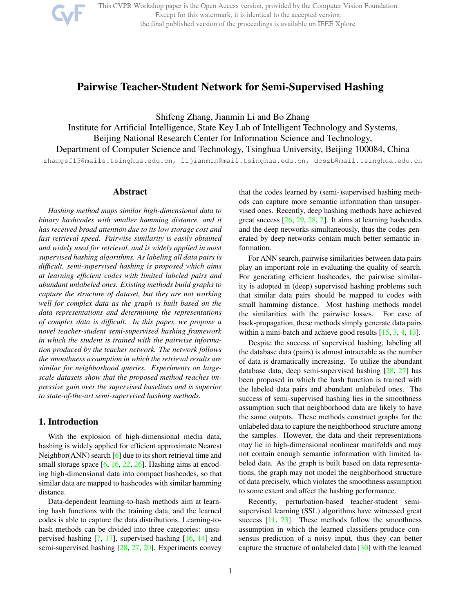This CVPR Workshop paper is the Open Access version, provided by the Computer Vision Foundation. Except for this watermark, it is identical to the accepted version; the final published version of the proceedings is available on IEEE Xplore.

# Pairwise Teacher-Student Network for Semi-Supervised Hashing

Shifeng Zhang, Jianmin Li and Bo Zhang

Institute for Artificial Intelligence, State Key Lab of Intelligent Technology and Systems, Beijing National Research Center for Information Science and Technology, Department of Computer Science and Technology, Tsinghua University, Beijing 100084, China

zhangsf15@mails.tsinghua.edu.cn, lijianmin@mail.tsinghua.edu.cn, dcszb@mail.tsinghua.edu.cn

### Abstract

*Hashing method maps similar high-dimensional data to binary hashcodes with smaller hamming distance, and it has received broad attention due to its low storage cost and fast retrieval speed. Pairwise similarity is easily obtained and widely used for retrieval, and is widely applied in most supervised hashing algorithms. As labeling all data pairs is difficult, semi-supervised hashing is proposed which aims at learning efficient codes with limited labeled pairs and abundant unlabeled ones. Existing methods build graphs to capture the structure of dataset, but they are not working well for complex data as the graph is built based on the data representations and determining the representations of complex data is difficult. In this paper, we propose a novel teacher-student semi-supervised hashing framework in which the student is trained with the pairwise information produced by the teacher network. The network follows the smoothness assumption in which the retrieval results are similar for neighborhood queries. Experiments on largescale datasets show that the proposed method reaches impressive gain over the supervised baselines and is superior to state-of-the-art semi-supervised hashing methods.*

# 1. Introduction

With the explosion of high-dimensional media data, hashing is widely applied for efficient approximate Nearest Neighbor(ANN) search [6] due to its short retrieval time and small storage space  $[6, 16, 22, 26]$ . Hashing aims at encoding high-dimensional data into compact hashcodes, so that similar data are mapped to hashcodes with similar hamming distance.

Data-dependent learning-to-hash methods aim at learning hash functions with the training data, and the learned codes is able to capture the data distributions. Learning-tohash methods can be divided into three categories: unsupervised hashing [7, 17], supervised hashing [16, 14] and semi-supervised hashing [28, 27, 20]. Experiments convey that the codes learned by (semi-)supervised hashing methods can capture more semantic information than unsupervised ones. Recently, deep hashing methods have achieved great success [26, 29, 28, 2]. It aims at learning hashcodes and the deep networks simultaneously, thus the codes generated by deep networks contain much better semantic information.

For ANN search, pairwise similarities between data pairs play an important role in evaluating the quality of search. For generating efficient hashcodes, the pairwise similarity is adopted in (deep) supervised hashing problems such that similar data pairs should be mapped to codes with small hamming distance. Most hashing methods model the similarities with the pairwise losses. For ease of back-propagation, these methods simply generate data pairs within a mini-batch and achieve good results [15, 3, 4, 13].

Despite the success of supervised hashing, labeling all the database data (pairs) is almost intractable as the number of data is dramatically increasing. To utilize the abundant database data, deep semi-supervised hashing [28, 27] has been proposed in which the hash function is trained with the labeled data pairs and abundant unlabeled ones. The success of semi-supervised hashing lies in the smoothness assumption such that neighborhood data are likely to have the same outputs. These methods construct graphs for the unlabeled data to capture the neighborhood structure among the samples. However, the data and their representations may lie in high-dimensional nonlinear manifolds and may not contain enough semantic information with limited labeled data. As the graph is built based on data representations, the graph may not model the neighborhood structure of data precisely, which violates the smoothness assumption to some extent and affect the hashing performance.

Recently, perturbation-based teacher-student semisupervised learning (SSL) algorithms have witnessed great success  $[11, 23]$ . These methods follow the smoothness assumption in which the learned classifiers produce consensus prediction of a noisy input, thus they can better capture the structure of unlabeled data [30] with the learned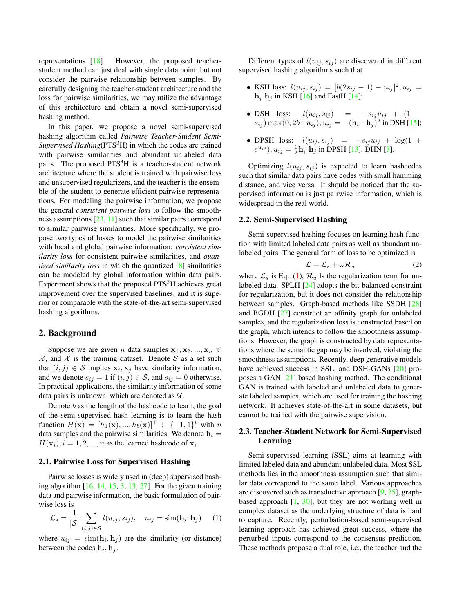representations [18]. However, the proposed teacherstudent method can just deal with single data point, but not consider the pairwise relationship between samples. By carefully designing the teacher-student architecture and the loss for pairwise similarities, we may utilize the advantage of this architecture and obtain a novel semi-supervised hashing method.

In this paper, we propose a novel semi-supervised hashing algorithm called *Pairwise Teacher-Student Semi-Supervised Hashing*(PTS<sup>3</sup>H) in which the codes are trained with pairwise similarities and abundant unlabeled data pairs. The proposed  $PTS<sup>3</sup>H$  is a teacher-student network architecture where the student is trained with pairwise loss and unsupervised regularizers, and the teacher is the ensemble of the student to generate efficient pairwise representations. For modeling the pairwise information, we propose the general *consistent pairwise loss* to follow the smoothness assumptions [23, 11] such that similar pairs correspond to similar pairwise similarities. More specifically, we propose two types of losses to model the pairwise similarities with local and global pairwise information: *consistent similarity loss* for consistent pairwise similarities, and *quantized similarity loss* in which the quantized [8] similarities can be modeled by global information within data pairs. Experiment shows that the proposed PTS<sup>3</sup>H achieves great improvement over the supervised baselines, and it is superior or comparable with the state-of-the-art semi-supervised hashing algorithms.

### 2. Background

Suppose we are given *n* data samples  $x_1, x_2, ..., x_n$  $X$ , and X is the training dataset. Denote S as a set such that  $(i, j) \in S$  implies  $\mathbf{x}_i, \mathbf{x}_j$  have similarity information, and we denote  $s_{ij} = 1$  if  $(i, j) \in S$ , and  $s_{ij} = 0$  otherwise. In practical applications, the similarity information of some data pairs is unknown, which are denoted as  $U$ .

Denote  $b$  as the length of the hashcode to learn, the goal of the semi-supervised hash learning is to learn the hash function  $H(\mathbf{x}) = [h_1(\mathbf{x}), ..., h_b(\mathbf{x})]^\top \in \{-1, 1\}^b$  with n data samples and the pairwise similarities. We denote  $h_i =$  $H(\mathbf{x}_i), i = 1, 2, ..., n$  as the learned hashcode of  $\mathbf{x}_i$ .

#### 2.1. Pairwise Loss for Supervised Hashing

Pairwise losses is widely used in (deep) supervised hashing algorithm [16, 14, 15, 3, 13, 27]. For the given training data and pairwise information, the basic formulation of pairwise loss is

$$
\mathcal{L}_s = \frac{1}{|\mathcal{S}|} \sum_{(i,j) \in \mathcal{S}} l(u_{ij}, s_{ij}), \quad u_{ij} = \text{sim}(\mathbf{h}_i, \mathbf{h}_j) \tag{1}
$$

where  $u_{ij} = \text{sim}(\mathbf{h}_i, \mathbf{h}_j)$  are the similarity (or distance) between the codes  $\mathbf{h}_i, \mathbf{h}_j$ .

Different types of  $l(u_{ij}, s_{ij})$  are discovered in different supervised hashing algorithms such that

- KSH loss:  $l(u_{ij}, s_{ij}) = [b(2s_{ij} 1) u_{ij}]^2, u_{ij} =$  $\mathbf{h}_i^{\top} \mathbf{h}_j$  in KSH [16] and FastH [14];
- DSH loss:  $l(u_{ij}, s_{ij}) = -s_{ij}u_{ij} + (1 (s_{ij})$  max $(0, 2b+u_{ij}), u_{ij} = -(\mathbf{h}_i - \mathbf{h}_j)^2$  in DSH [15];
- DPSH loss:  $l(u_{ij}, s_{ij}) = -s_{ij}u_{ij} + \log(1 +$  $e^{u_{ij}}$ ),  $u_{ij} = \frac{1}{2} \mathbf{h}_i^{\top} \mathbf{h}_j$  in DPSH [13], DHN [3].

Optimizing  $l(u_{ij}, s_{ij})$  is expected to learn hashcodes such that similar data pairs have codes with small hamming distance, and vice versa. It should be noticed that the supervised information is just pairwise information, which is widespread in the real world.

#### 2.2. Semi-Supervised Hashing

Semi-supervised hashing focuses on learning hash function with limited labeled data pairs as well as abundant unlabeled pairs. The general form of loss to be optimized is

$$
\mathcal{L} = \mathcal{L}_s + \omega \mathcal{R}_u \tag{2}
$$

where  $\mathcal{L}_s$  is Eq. (1),  $\mathcal{R}_u$  ls the regularization term for unlabeled data. SPLH [24] adopts the bit-balanced constraint for regularization, but it does not consider the relationship between samples. Graph-based methods like SSDH [28] and BGDH [27] construct an affinity graph for unlabeled samples, and the regularization loss is constructed based on the graph, which intends to follow the smoothness assumptions. However, the graph is constructed by data representations where the semantic gap may be involved, violating the smoothness assumptions. Recently, deep generative models have achieved success in SSL, and DSH-GANs [20] proposes a GAN [21] based hashing method. The conditional GAN is trained with labeled and unlabeled data to generate labeled samples, which are used for training the hashing network. It achieves state-of-the-art in some datasets, but cannot be trained with the pairwise supervision.

### 2.3. Teacher-Student Network for Semi-Supervised Learning

Semi-supervised learning (SSL) aims at learning with limited labeled data and abundant unlabeled data. Most SSL methods lies in the smoothness assumption such that similar data correspond to the same label. Various approaches are discovered such as transductive approach [9, 25], graphbased approach  $[1, 30]$ , but they are not working well in complex dataset as the underlying structure of data is hard to capture. Recently, perturbation-based semi-supervised learning approach has achieved great success, where the perturbed inputs correspond to the consensus prediction. These methods propose a dual role, i.e., the teacher and the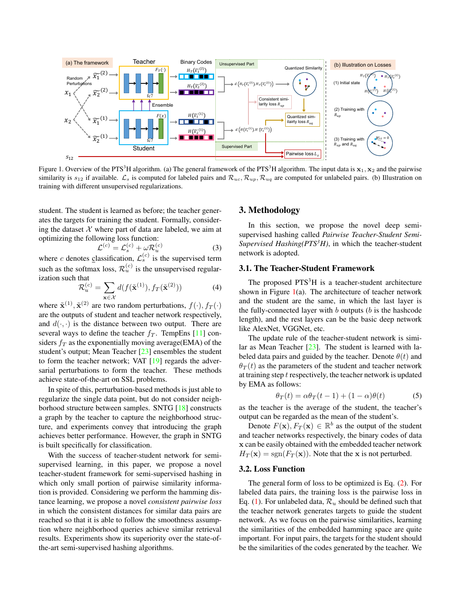

Figure 1. Overview of the PTS<sup>3</sup>H algorithm. (a) The general framework of the PTS<sup>3</sup>H algorithm. The input data is  $x_1, x_2$  and the pairwise similarity is  $s_{12}$  if available.  $\mathcal{L}_s$  is computed for labeled pairs and  $\mathcal{R}_{uc}, \mathcal{R}_{up}, \mathcal{R}_{uq}$  are computed for unlabeled pairs. (b) Illustration on training with different unsupervised regularizations.

student. The student is learned as before; the teacher generates the targets for training the student. Formally, considering the dataset  $X$  where part of data are labeled, we aim at optimizing the following loss function:

$$
\mathcal{L}^{(c)} = \mathcal{L}_s^{(c)} + \omega \mathcal{R}_u^{(c)} \tag{3}
$$

where c denotes classification,  $\mathcal{L}_s^{(c)}$  is the supervised term such as the softmax loss,  $\mathcal{R}_u^{(c)}$  is the unsupervised regularization such that

$$
\mathcal{R}_u^{(c)} = \sum_{\mathbf{x} \in \mathcal{X}} d(f(\tilde{\mathbf{x}}^{(1)}), f_T(\tilde{\mathbf{x}}^{(2)}))
$$
(4)

where  $\tilde{\mathbf{x}}^{(1)}, \tilde{\mathbf{x}}^{(2)}$  are two random perturbations,  $f(\cdot), f_T(\cdot)$ are the outputs of student and teacher network respectively, and  $d(\cdot, \cdot)$  is the distance between two output. There are several ways to define the teacher  $f_T$ . TempEns [11] considers  $f_T$  as the exponentially moving average(EMA) of the student's output; Mean Teacher [23] ensembles the student to form the teacher network; VAT [19] regards the adversarial perturbations to form the teacher. These methods achieve state-of-the-art on SSL problems.

In spite of this, perturbation-based methods is just able to regularize the single data point, but do not consider neighborhood structure between samples. SNTG [18] constructs a graph by the teacher to capture the neighborhood structure, and experiments convey that introducing the graph achieves better performance. However, the graph in SNTG is built specifically for classification.

With the success of teacher-student network for semisupervised learning, in this paper, we propose a novel teacher-student framework for semi-supervised hashing in which only small portion of pairwise similarity information is provided. Considering we perform the hamming distance learning, we propose a novel *consistent pairwise loss* in which the consistent distances for similar data pairs are reached so that it is able to follow the smoothness assumption where neighborhood queries achieve similar retrieval results. Experiments show its superiority over the state-ofthe-art semi-supervised hashing algorithms.

# 3. Methodology

In this section, we propose the novel deep semisupervised hashing called *Pairwise Teacher-Student Semi-Supervised Hashing(* $PTS<sup>3</sup>H$ *)*, in which the teacher-student network is adopted.

### 3.1. The Teacher-Student Framework

The proposed  $PTS<sup>3</sup>H$  is a teacher-student architecture shown in Figure  $1(a)$ . The architecture of teacher network and the student are the same, in which the last layer is the fully-connected layer with  $b$  outputs ( $b$  is the hashcode length), and the rest layers can be the basic deep network like AlexNet, VGGNet, etc.

The update rule of the teacher-student network is similar as Mean Teacher [23]. The student is learned with labeled data pairs and guided by the teacher. Denote  $\theta(t)$  and  $\theta_T(t)$  as the parameters of the student and teacher network at training step  $t$  respectively, the teacher network is updated by EMA as follows:

$$
\theta_T(t) = \alpha \theta_T(t-1) + (1-\alpha)\theta(t) \tag{5}
$$

as the teacher is the average of the student, the teacher's output can be regarded as the mean of the student's.

Denote  $F(\mathbf{x})$ ,  $F_T(\mathbf{x}) \in \mathbb{R}^b$  as the output of the student and teacher networks respectively, the binary codes of data x can be easily obtained with the embedded teacher network  $H_T(\mathbf{x}) = \text{sgn}(F_T(\mathbf{x}))$ . Note that the x is not perturbed.

#### 3.2. Loss Function

The general form of loss to be optimized is Eq. (2). For labeled data pairs, the training loss is the pairwise loss in Eq. (1). For unlabeled data,  $\mathcal{R}_u$  should be defined such that the teacher network generates targets to guide the student network. As we focus on the pairwise similarities, learning the similarities of the embedded hamming space are quite important. For input pairs, the targets for the student should be the similarities of the codes generated by the teacher. We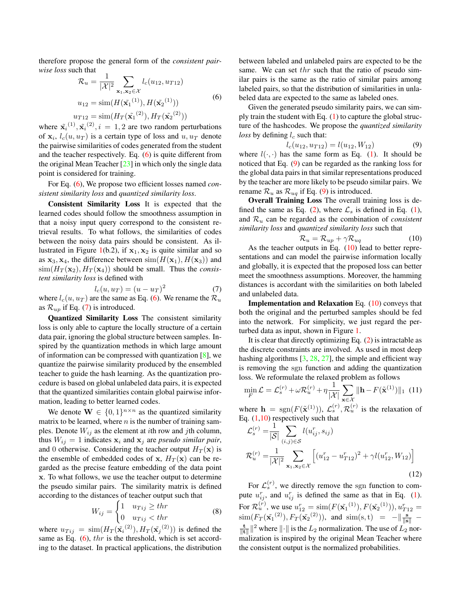therefore propose the general form of the *consistent pairwise loss* such that

$$
\mathcal{R}_u = \frac{1}{|\mathcal{X}|^2} \sum_{\mathbf{x}_1, \mathbf{x}_2 \in \mathcal{X}} l_c(u_{12}, u_{T12})
$$
  
\n
$$
u_{12} = \text{sim}(H(\tilde{\mathbf{x}_1}^{(1)}), H(\tilde{\mathbf{x}_2}^{(1)}))
$$
  
\n
$$
u_{T12} = \text{sim}(H_T(\tilde{\mathbf{x}_1}^{(2)}), H_T(\tilde{\mathbf{x}_2}^{(2)}))
$$
\n(6)

where  $\tilde{\mathbf{x}_i}^{(1)}, \tilde{\mathbf{x}_i}^{(2)}, i = 1, 2$  are two random perturbations of  $x_i$ ,  $l_c(u, u_T)$  is a certain type of loss and  $u, u_T$  denote the pairwise similarities of codes generated from the student and the teacher respectively. Eq. (6) is quite different from the original Mean Teacher  $[23]$  in which only the single data point is considered for training.

For Eq. (6), We propose two efficient losses named *consistent similarity loss* and *quantized similarity loss*.

Consistent Similarity Loss It is expected that the learned codes should follow the smoothness assumption in that a noisy input query correspond to the consistent retrieval results. To what follows, the similarities of codes between the noisy data pairs should be consistent. As illustrated in Figure 1(b.2), if  $x_1, x_2$  is quite similar and so as  $x_3, x_4$ , the difference between  $\text{sim}(H(x_1), H(x_3))$  and  $\text{sim}(H_T(\mathbf{x}_2), H_T(\mathbf{x}_4))$  should be small. Thus the *consistent similarity loss* is defined with

$$
l_c(u, u_T) = (u - u_T)^2 \tag{7}
$$

where  $l_c(u, u_T)$  are the same as Eq. (6). We rename the  $\mathcal{R}_u$ as  $\mathcal{R}_{up}$  if Eq. (7) is introduced.

Quantized Similarity Loss The consistent similarity loss is only able to capture the locally structure of a certain data pair, ignoring the global structure between samples. Inspired by the quantization methods in which large amount of information can be compressed with quantization [8], we quantize the pairwise similarity produced by the ensembled teacher to guide the hash learning. As the quantization procedure is based on global unlabeled data pairs, it is expected that the quantized similarities contain global pairwise information, leading to better learned codes.

We denote  $\mathbf{W} \in \{0,1\}^{n \times n}$  as the quantized similarity matrix to be learned, where  $n$  is the number of training samples. Denote  $W_{ij}$  as the element at *i*th row and *j*th column, thus  $W_{ij} = 1$  indicates  $x_i$  and  $x_j$  are *pseudo similar pair*, and 0 otherwise. Considering the teacher output  $H_T(\mathbf{x})$  is the ensemble of embedded codes of x,  $H_T(\mathbf{x})$  can be regarded as the precise feature embedding of the data point x. To what follows, we use the teacher output to determine the pseudo similar pairs. The similarity matrix is defined according to the distances of teacher output such that

$$
W_{ij} = \begin{cases} 1 & u_{Tij} \ge thr \\ 0 & u_{Tij} < thr \end{cases}
$$
 (8)

where  $u_{Tij} = \text{sim}(H_T(\tilde{\mathbf{x}_i}^{(2)}), H_T(\tilde{\mathbf{x}_j}^{(2)}))$  is defined the same as Eq.  $(6)$ , thr is the threshold, which is set according to the dataset. In practical applications, the distribution between labeled and unlabeled pairs are expected to be the same. We can set thr such that the ratio of pseudo similar pairs is the same as the ratio of similar pairs among labeled pairs, so that the distribution of similarities in unlabeled data are expected to the same as labeled ones.

Given the generated pseudo similarity pairs, we can simply train the student with Eq.  $(1)$  to capture the global structure of the hashcodes. We propose the *quantized similarity loss* by defining  $l_c$  such that:

$$
l_c(u_{12}, u_{T12}) = l(u_{12}, W_{12})
$$
\n(9)

where  $l(\cdot, \cdot)$  has the same form as Eq. (1). It should be noticed that Eq. (9) can be regarded as the ranking loss for the global data pairs in that similar representations produced by the teacher are more likely to be pseudo similar pairs. We rename  $\mathcal{R}_u$  as  $\mathcal{R}_{uq}$  if Eq. (9) is introduced.

Overall Training Loss The overall training loss is defined the same as Eq. (2), where  $\mathcal{L}_s$  is defined in Eq. (1), and  $\mathcal{R}_u$  can be regarded as the combination of *consistent similarity loss* and *quantized similarity loss* such that

$$
\mathcal{R}_u = \mathcal{R}_{up} + \gamma \mathcal{R}_{uq} \tag{10}
$$

As the teacher outputs in Eq.  $(10)$  lead to better representations and can model the pairwise information locally and globally, it is expected that the proposed loss can better meet the smoothness assumptions. Moreover, the hamming distances is accordant with the similarities on both labeled and unlabeled data.

**Implementation and Relaxation** Eq.  $(10)$  conveys that both the original and the perturbed samples should be fed into the network. For simplicity, we just regard the perturbed data as input, shown in Figure 1.

It is clear that directly optimizing Eq.  $(2)$  is intractable as the discrete constraints are involved. As used in most deep hashing algorithms  $[3, 28, 27]$ , the simple and efficient way is removing the sgn function and adding the quantization loss. We reformulate the relaxed problem as follows

$$
\min_{F} \mathcal{L} = \mathcal{L}_{s}^{(r)} + \omega \mathcal{R}_{u}^{(r)} + \eta \frac{1}{|\mathcal{X}|} \sum_{\mathbf{x} \in \mathcal{X}} ||\mathbf{h} - F(\tilde{\mathbf{x}}^{(1)})||_{1} (11)
$$

where  $\mathbf{h} = \text{sgn}(F(\tilde{\mathbf{x}}^{(1)})), \, \mathcal{L}_s^{(r)}, \mathcal{R}_u^{(r)}$  is the relaxation of Eq.  $(1,10)$  respectively such that

$$
\mathcal{L}_{s}^{(r)} = \frac{1}{|\mathcal{S}|} \sum_{(i,j) \in \mathcal{S}} l(u_{ij}^{r}, s_{ij})
$$
\n
$$
\mathcal{R}_{u}^{(r)} = \frac{1}{|\mathcal{X}|^{2}} \sum_{\mathbf{x}_{1}, \mathbf{x}_{2} \in \mathcal{X}} \left[ (u_{12}^{r} - u_{T12}^{r})^{2} + \gamma l(u_{12}^{r}, W_{12}) \right]
$$
\n(12)

For  $\mathcal{L}_s^{(r)}$ , we directly remove the sgn function to compute  $u_{ij}^r$ , and  $u_{ij}^r$  is defined the same as that in Eq. (1). For  $\mathcal{R}_u^{(r)}$ , we use  $u_{12}^r = \text{sim}(F(\tilde{\mathbf{x}_1}^{(1)}), F(\tilde{\mathbf{x}_2}^{(1)})), u_{T12}^r =$  $\text{sim}(F_T(\tilde{\mathbf{x}_1}^{(2)}), F_T(\tilde{\mathbf{x}_2}^{(2)})), \text{ and } \text{sim(s,t)} = -\|\frac{\mathbf{s}}{\|\mathbf{s}\|}$  $\frac{t}{\|\mathbf{t}\|}\|^2$  where  $\|\cdot\|$  is the  $L_2$  normalization. The use of  $L_2$  normalization is inspired by the original Mean Teacher where the consistent output is the normalized probabilities.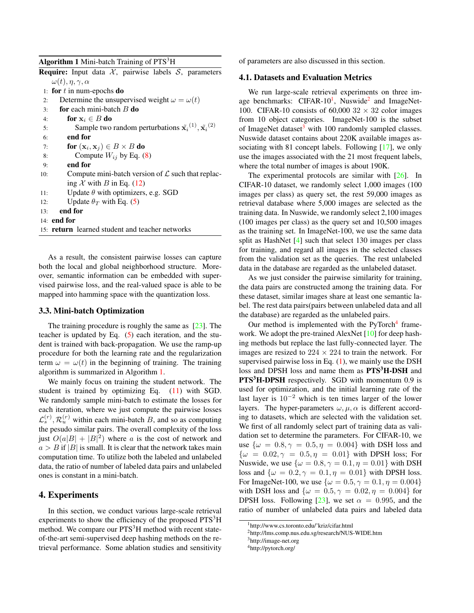| Algorithm 1 Mini-batch Training of PTS <sup>3</sup> H |  |  |  |  |
|-------------------------------------------------------|--|--|--|--|
|-------------------------------------------------------|--|--|--|--|

|     | <b>Require:</b> Input data $X$ , pairwise labels $S$ , parameters                        |  |  |  |  |  |  |  |  |  |
|-----|------------------------------------------------------------------------------------------|--|--|--|--|--|--|--|--|--|
|     | $\omega(t), \eta, \gamma, \alpha$                                                        |  |  |  |  |  |  |  |  |  |
|     | 1: for $t$ in num-epochs do                                                              |  |  |  |  |  |  |  |  |  |
| 2:  | Determine the unsupervised weight $\omega = \omega(t)$                                   |  |  |  |  |  |  |  |  |  |
| 3:  | <b>for</b> each mini-batch $B$ <b>do</b>                                                 |  |  |  |  |  |  |  |  |  |
| 4:  | for $x_i \in B$ do                                                                       |  |  |  |  |  |  |  |  |  |
| 5:  | Sample two random perturbations $\tilde{\mathbf{x}_i}^{(1)}, \tilde{\mathbf{x}_i}^{(2)}$ |  |  |  |  |  |  |  |  |  |
| 6:  | end for                                                                                  |  |  |  |  |  |  |  |  |  |
| 7:  | for $(\mathbf{x}_i, \mathbf{x}_j) \in B \times B$ do                                     |  |  |  |  |  |  |  |  |  |
| 8:  | Compute $W_{ij}$ by Eq. (8)                                                              |  |  |  |  |  |  |  |  |  |
| 9:  | end for                                                                                  |  |  |  |  |  |  |  |  |  |
| 10: | Compute mini-batch version of $\mathcal L$ such that replac-                             |  |  |  |  |  |  |  |  |  |
|     | ing X with B in Eq. $(12)$                                                               |  |  |  |  |  |  |  |  |  |
| 11: | Update $\theta$ with optimizers, e.g. SGD                                                |  |  |  |  |  |  |  |  |  |
| 12: | Update $\theta_T$ with Eq. (5)                                                           |  |  |  |  |  |  |  |  |  |
| 13: | end for                                                                                  |  |  |  |  |  |  |  |  |  |
|     | $14:$ end for                                                                            |  |  |  |  |  |  |  |  |  |
|     | 15: <b>return</b> learned student and teacher networks                                   |  |  |  |  |  |  |  |  |  |
|     |                                                                                          |  |  |  |  |  |  |  |  |  |

As a result, the consistent pairwise losses can capture both the local and global neighborhood structure. Moreover, semantic information can be embedded with supervised pairwise loss, and the real-valued space is able to be mapped into hamming space with the quantization loss.

#### 3.3. Mini-batch Optimization

The training procedure is roughly the same as [23]. The teacher is updated by Eq. (5) each iteration, and the student is trained with back-propagation. We use the ramp-up procedure for both the learning rate and the regularization term  $\omega = \omega(t)$  in the beginning of training. The training algorithm is summarized in Algorithm 1.

We mainly focus on training the student network. The student is trained by optimizing Eq. (11) with SGD. We randomly sample mini-batch to estimate the losses for each iteration, where we just compute the pairwise losses  $\mathcal{L}_s^{(r)}$ ,  $\mathcal{R}_u^{(r)}$  within each mini-batch B, and so as computing the pesudo similar pairs. The overall complexity of the loss just  $O(a|B| + |B|^2)$  where a is the cost of network and  $a > B$  if |B| is small. It is clear that the network takes main computation time. To utilize both the labeled and unlabeled data, the ratio of number of labeled data pairs and unlabeled ones is constant in a mini-batch.

# 4. Experiments

In this section, we conduct various large-scale retrieval experiments to show the efficiency of the proposed  $PTS<sup>3</sup>H$ method. We compare our  $PTS<sup>3</sup>H$  method with recent stateof-the-art semi-supervised deep hashing methods on the retrieval performance. Some ablation studies and sensitivity of parameters are also discussed in this section.

#### 4.1. Datasets and Evaluation Metrics

We run large-scale retrieval experiments on three image benchmarks: CIFAR-10<sup>1</sup>, Nuswide<sup>2</sup> and ImageNet-100. CIFAR-10 consists of 60,000  $32 \times 32$  color images from 10 object categories. ImageNet-100 is the subset of ImageNet dataset $3$  with 100 randomly sampled classes. Nuswide dataset contains about 220K available images associating with 81 concept labels. Following [17], we only use the images associated with the 21 most frequent labels, where the total number of images is about 190K.

The experimental protocols are similar with [26]. In CIFAR-10 dataset, we randomly select 1,000 images (100 images per class) as query set, the rest 59,000 images as retrieval database where 5,000 images are selected as the training data. In Nuswide, we randomly select 2,100 images (100 images per class) as the query set and 10,500 images as the training set. In ImageNet-100, we use the same data split as HashNet [4] such that select 130 images per class for training, and regard all images in the selected classes from the validation set as the queries. The rest unlabeled data in the database are regarded as the unlabeled dataset.

As we just consider the pairwise similarity for training, the data pairs are constructed among the training data. For these dataset, similar images share at least one semantic label. The rest data pairs(pairs between unlabeled data and all the database) are regarded as the unlabeled pairs.

Our method is implemented with the PyTorch $4$  framework. We adopt the pre-trained AlexNet [10] for deep hashing methods but replace the last fully-connected layer. The images are resized to  $224 \times 224$  to train the network. For supervised pairwise loss in Eq.  $(1)$ , we mainly use the DSH loss and DPSH loss and name them as **PTS<sup>3</sup>H-DSH** and **PTS<sup>3</sup>H-DPSH** respectively. SGD with momentum 0.9 is used for optimization, and the initial learning rate of the last layer is  $10^{-2}$  which is ten times larger of the lower layers. The hyper-parameters  $\omega, \mu, \alpha$  is different according to datasets, which are selected with the validation set. We first of all randomly select part of training data as validation set to determine the parameters. For CIFAR-10, we use  $\{\omega = 0.8, \gamma = 0.5, \eta = 0.004\}$  with DSH loss and  ${\omega = 0.02, \gamma = 0.5, \eta = 0.01}$  with DPSH loss; For Nuswide, we use  $\{\omega = 0.8, \gamma = 0.1, \eta = 0.01\}$  with DSH loss and  $\{\omega = 0.2, \gamma = 0.1, \eta = 0.01\}$  with DPSH loss. For ImageNet-100, we use  $\{\omega = 0.5, \gamma = 0.1, \eta = 0.004\}$ with DSH loss and  $\{\omega = 0.5, \gamma = 0.02, \eta = 0.004\}$  for DPSH loss. Following [23], we set  $\alpha = 0.995$ , and the ratio of number of unlabeled data pairs and labeled data

<sup>1</sup>http://www.cs.toronto.edu/˜kriz/cifar.html

<sup>2</sup>http://lms.comp.nus.edu.sg/research/NUS-WIDE.htm

<sup>3</sup>http://image-net.org

<sup>4</sup>http://pytorch.org/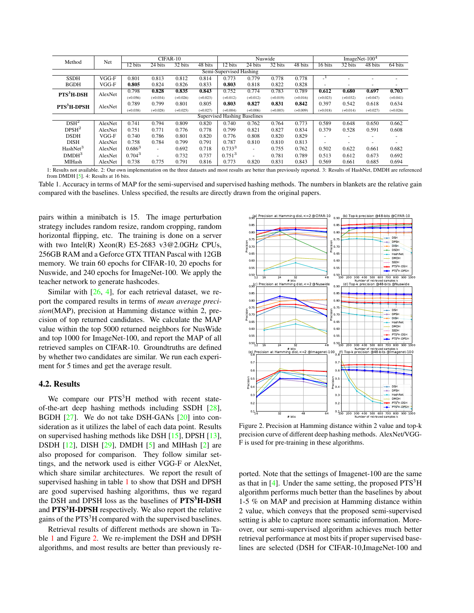| Method                              | Net     | CIFAR-10    |                          |            |            | Nuswide     |                          |            |            | ImageNet- $1004$         |                          |            |            |
|-------------------------------------|---------|-------------|--------------------------|------------|------------|-------------|--------------------------|------------|------------|--------------------------|--------------------------|------------|------------|
|                                     |         | 12 bits     | $\overline{24}$ bits     | 32 bits    | 48 bits    | 12 bits     | 24 bits                  | 32 bits    | 48 bits    | 16 bits                  | 32 bits                  | 48 bits    | 64 bits    |
| Semi-Supervised Hashing             |         |             |                          |            |            |             |                          |            |            |                          |                          |            |            |
| <b>SSDH</b>                         | $VGG-F$ | 0.801       | 0.813                    | 0.812      | 0.814      | 0.773       | 0.779                    | 0.778      | 0.778      | $\mathbf{L}^{\perp}$     |                          |            |            |
| <b>BGDH</b>                         | VGG-F   | 0.805       | 0.824                    | 0.826      | 0.833      | 0.803       | 0.818                    | 0.822      | 0.828      | $\overline{\phantom{a}}$ |                          | ٠          | ۰          |
| $PTS3H-DSH$                         | AlexNet | 0.798       | 0.828                    | 0.835      | 0.843      | 0.752       | 0.774                    | 0.783      | 0.789      | 0.612                    | 0.680                    | 0.697      | 0.703      |
|                                     |         | $(+0.056)$  | $(+0.034)$               | $(+0.026)$ | $(+0.023)$ | $(+0.012)$  | $(+0.012)$               | $(+0.019)$ | $(+0.016)$ | $(+0.023)$               | $(+0.032)$               | $(+0.047)$ | $(+0.041)$ |
| <b>PTS<sup>3</sup>H-DPSH</b>        | AlexNet | 0.789       | 0.799                    | 0.801      | 0.805      | 0.803       | 0.827                    | 0.831      | 0.842      | 0.397                    | 0.542                    | 0.618      | 0.634      |
|                                     |         | $(+0.038)$  | $(+0.028)$               | $(+0.025)$ | $(+0.027)$ | $(+0.004)$  | $(+0.006)$               | $(+0.003)$ | $(+0.009)$ | $(+0.018)$               | $(+0.014)$               | $(+0.027)$ | $(+0.026)$ |
| <b>Supervised Hashing Baselines</b> |         |             |                          |            |            |             |                          |            |            |                          |                          |            |            |
| DSH <sup>2</sup>                    | AlexNet | 0.741       | 0.794                    | 0.809      | 0.820      | 0.740       | 0.762                    | 0.764      | 0.773      | 0.589                    | 0.648                    | 0.650      | 0.662      |
| DPSH <sup>2</sup>                   | AlexNet | 0.751       | 0.771                    | 0.776      | 0.778      | 0.799       | 0.821                    | 0.827      | 0.834      | 0.379                    | 0.528                    | 0.591      | 0.608      |
| <b>DSDH</b>                         | VGG-F   | 0.740       | 0.786                    | 0.801      | 0.820      | 0.776       | 0.808                    | 0.820      | 0.829      |                          | $\overline{\phantom{a}}$ | ۰          | ۰          |
| <b>DISH</b>                         | AlexNet | 0.758       | 0.784                    | 0.799      | 0.791      | 0.787       | 0.810                    | 0.810      | 0.813      |                          |                          | ۰          |            |
| HashNet <sup>3</sup>                | AlexNet | $0.686^{3}$ | ٠                        | 0.692      | 0.718      | $0.733^{3}$ | ٠                        | 0.755      | 0.762      | 0.502                    | 0.622                    | 0.661      | 0.682      |
| DMDH <sup>3</sup>                   | AlexNet | $0.704^{3}$ | $\overline{\phantom{a}}$ | 0.732      | 0.737      | $0.751^{3}$ | $\overline{\phantom{a}}$ | 0.781      | 0.789      | 0.513                    | 0.612                    | 0.673      | 0.692      |
| MIHash                              | AlexNet | 0.738       | 0.775                    | 0.791      | 0.816      | 0.773       | 0.820                    | 0.831      | 0.843      | 0.569                    | 0.661                    | 0.685      | 0.694      |

1: Results not available. 2: Our own implementation on the three datasets and most results are better than previously reported. 3: Results of HashNet, DMDH are referenced from DMDH  $[5]$ . 4: Results at 16 bits.

Table 1. Accuracy in terms of MAP for the semi-supervised and supervised hashing methods. The numbers in blankets are the relative gain compared with the baselines. Unless specified, the results are directly drawn from the original papers.

pairs within a minibatch is 15. The image perturbation strategy includes random resize, random cropping, random horizontal flipping, etc. The training is done on a server with two Intel(R) Xeon(R) E5-2683 v3@2.0GHz CPUs, 256GB RAM and a Geforce GTX TITAN Pascal with 12GB memory. We train 60 epochs for CIFAR-10, 20 epochs for Nuswide, and 240 epochs for ImageNet-100. We apply the teacher network to generate hashcodes.

Similar with [26, 4], for each retrieval dataset, we report the compared results in terms of *mean average precision*(MAP), precision at Hamming distance within 2, precision of top returned candidates. We calculate the MAP value within the top 5000 returned neighbors for NusWide and top 1000 for ImageNet-100, and report the MAP of all retrieved samples on CIFAR-10. Groundtruths are defined by whether two candidates are similar. We run each experiment for 5 times and get the average result.

### 4.2. Results

We compare our  $PTS<sup>3</sup>H$  method with recent stateof-the-art deep hashing methods including SSDH [28], BGDH [27]. We do not take DSH-GANs [20] into consideration as it utilizes the label of each data point. Results on supervised hashing methods like DSH [15], DPSH [13], DSDH  $[12]$ , DISH  $[29]$ , DMDH  $[5]$  and MIHash  $[2]$  are also proposed for comparison. They follow similar settings, and the network used is either VGG-F or AlexNet, which share similar architectures. We report the result of supervised hashing in table 1 to show that DSH and DPSH are good supervised hashing algorithms, thus we regard the DSH and DPSH loss as the baselines of  $PTS<sup>3</sup>H-DSH$ and **PTS<sup>3</sup>H-DPSH** respectively. We also report the relative gains of the PTS<sup>3</sup>H compared with the supervised baselines.

Retrieval results of different methods are shown in Table 1 and Figure 2. We re-implement the DSH and DPSH algorithms, and most results are better than previously re-



Figure 2. Precision at Hamming distance within 2 value and top-k precision curve of different deep hashing methods. AlexNet/VGG-F is used for pre-training in these algorithms.

ported. Note that the settings of Imagenet-100 are the same as that in  $[4]$ . Under the same setting, the proposed  $PTS<sup>3</sup>H$ algorithm performs much better than the baselines by about 1-5 % on MAP and precision at Hamming distance within 2 value, which conveys that the proposed semi-supervised setting is able to capture more semantic information. Moreover, our semi-supervised algorithm achieves much better retrieval performance at most bits if proper supervised baselines are selected (DSH for CIFAR-10,ImageNet-100 and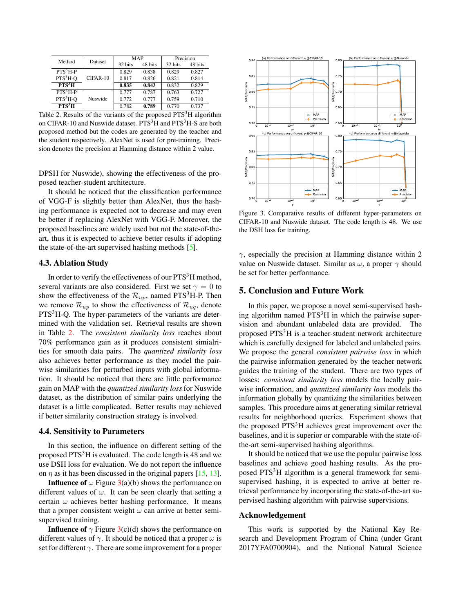| Method             | Dataset    | MAP     |         | Precision |         |  |
|--------------------|------------|---------|---------|-----------|---------|--|
|                    |            | 32 bits | 48 bits | 32 bits   | 48 bits |  |
| $PTS3H-P$          |            | 0.829   | 0.838   | 0.829     | 0.827   |  |
| $PTS3H-O$          | $CIFAR-10$ | 0.817   | 0.826   | 0.821     | 0.814   |  |
| $PTS^3H$           |            | 0.835   | 0.843   | 0.832     | 0.829   |  |
| $PTS3H-P$          |            | 0.777   | 0.787   | 0.763     | 0.727   |  |
| $PTS3H-O$          | Nuswide    | 0.772   | 0.777   | 0.759     | 0.710   |  |
| PTS <sup>3</sup> H |            | 0.782   | 0.789   | 0.770     | 0.737   |  |

Table 2. Results of the variants of the proposed  $PTS<sup>3</sup>H$  algorithm on CIFAR-10 and Nuswide dataset.  $PTS<sup>3</sup>H$  and  $PTS<sup>3</sup>H-S$  are both proposed method but the codes are generated by the teacher and the student respectively. AlexNet is used for pre-training. Precision denotes the precision at Hamming distance within 2 value.

DPSH for Nuswide), showing the effectiveness of the proposed teacher-student architecture.

It should be noticed that the classification performance of VGG-F is slightly better than AlexNet, thus the hashing performance is expected not to decrease and may even be better if replacing AlexNet with VGG-F. Moreover, the proposed baselines are widely used but not the state-of-theart, thus it is expected to achieve better results if adopting the state-of-the-art supervised hashing methods [5].

#### 4.3. Ablation Study

In order to verify the effectiveness of our  $PTS<sup>3</sup>H$  method, several variants are also considered. First we set  $\gamma = 0$  to show the effectiveness of the  $\mathcal{R}_{up}$ , named PTS<sup>3</sup>H-P. Then we remove  $\mathcal{R}_{up}$  to show the effectiveness of  $\mathcal{R}_{uq}$ , denote PTS<sup>3</sup>H-Q. The hyper-parameters of the variants are determined with the validation set. Retrieval results are shown in Table 2. The *consistent similarity loss* reaches about 70% performance gain as it produces consistent simialrities for smooth data pairs. The *quantized similarity loss* also achieves better performance as they model the pairwise similarities for perturbed inputs with global information. It should be noticed that there are little performance gain on MAP with the *quantized similarity loss* for Nuswide dataset, as the distribution of similar pairs underlying the dataset is a little complicated. Better results may achieved if better similarity construction strategy is involved.

#### 4.4. Sensitivity to Parameters

In this section, the influence on different setting of the proposed PTS<sup>3</sup>H is evaluated. The code length is 48 and we use DSH loss for evaluation. We do not report the influence on  $\eta$  as it has been discussed in the original papers [15, 13].

**Influence of**  $\omega$  Figure 3(a)(b) shows the performance on different values of  $\omega$ . It can be seen clearly that setting a certain  $\omega$  achieves better hashing performance. It means that a proper consistent weight  $\omega$  can arrive at better semisupervised training.

**Influence of**  $\gamma$  Figure 3(c)(d) shows the performance on different values of  $\gamma$ . It should be noticed that a proper  $\omega$  is set for different  $\gamma$ . There are some improvement for a proper



Figure 3. Comparative results of different hyper-parameters on CIFAR-10 and Nuswide dataset. The code length is 48. We use the DSH loss for training.

 $\gamma$ , especially the precision at Hamming distance within 2 value on Nuswide dataset. Similar as  $\omega$ , a proper  $\gamma$  should be set for better performance.

### 5. Conclusion and Future Work

In this paper, we propose a novel semi-supervised hashing algorithm named  $PTS<sup>3</sup>H$  in which the pairwise supervision and abundant unlabeled data are provided. The proposed  $PTS<sup>3</sup>H$  is a teacher-student network architecture which is carefully designed for labeled and unlabeled pairs. We propose the general *consistent pairwise loss* in which the pairwise information generated by the teacher network guides the training of the student. There are two types of losses: *consistent similarity loss* models the locally pairwise information, and *quantized similarity loss* models the information globally by quantizing the similarities between samples. This procedure aims at generating similar retrieval results for neighborhood queries. Experiment shows that the proposed PTS<sup>3</sup>H achieves great improvement over the baselines, and it is superior or comparable with the state-ofthe-art semi-supervised hashing algorithms.

It should be noticed that we use the popular pairwise loss baselines and achieve good hashing results. As the proposed PTS<sup>3</sup>H algorithm is a general framework for semisupervised hashing, it is expected to arrive at better retrieval performance by incorporating the state-of-the-art supervised hashing algorithm with pairwise supervisions.

### Acknowledgement

This work is supported by the National Key Research and Development Program of China (under Grant 2017YFA0700904), and the National Natural Science